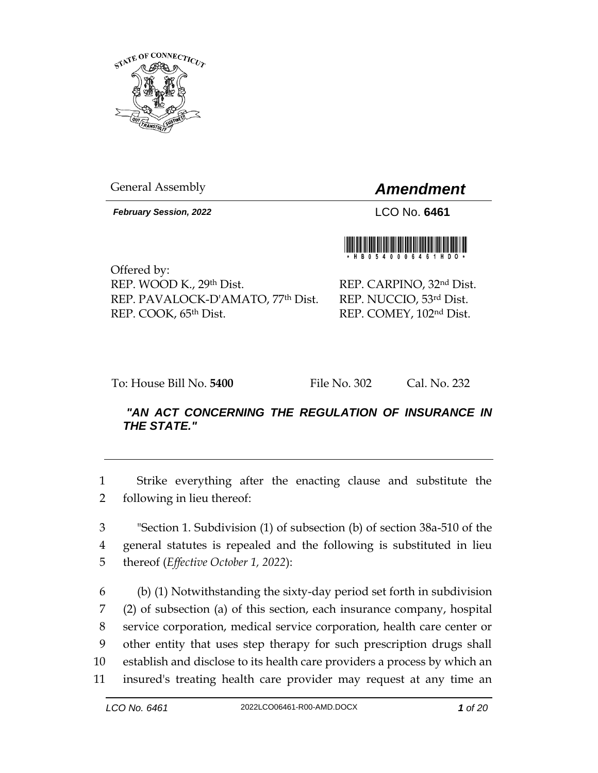

General Assembly *Amendment*

*February Session, 2022* LCO No. **6461**

Offered by: REP. WOOD K., 29th Dist. REP. PAVALOCK-D'AMATO, 77th Dist. REP. COOK, 65th Dist.

REP. CARPINO, 32nd Dist. REP. NUCCIO, 53rd Dist. REP. COMEY, 102nd Dist.

To: House Bill No. **5400** File No. 302 Cal. No. 232

# *"AN ACT CONCERNING THE REGULATION OF INSURANCE IN THE STATE."*

1 Strike everything after the enacting clause and substitute the 2 following in lieu thereof:

3 "Section 1. Subdivision (1) of subsection (b) of section 38a-510 of the 4 general statutes is repealed and the following is substituted in lieu 5 thereof (*Effective October 1, 2022*):

 (b) (1) Notwithstanding the sixty-day period set forth in subdivision (2) of subsection (a) of this section, each insurance company, hospital service corporation, medical service corporation, health care center or other entity that uses step therapy for such prescription drugs shall establish and disclose to its health care providers a process by which an insured's treating health care provider may request at any time an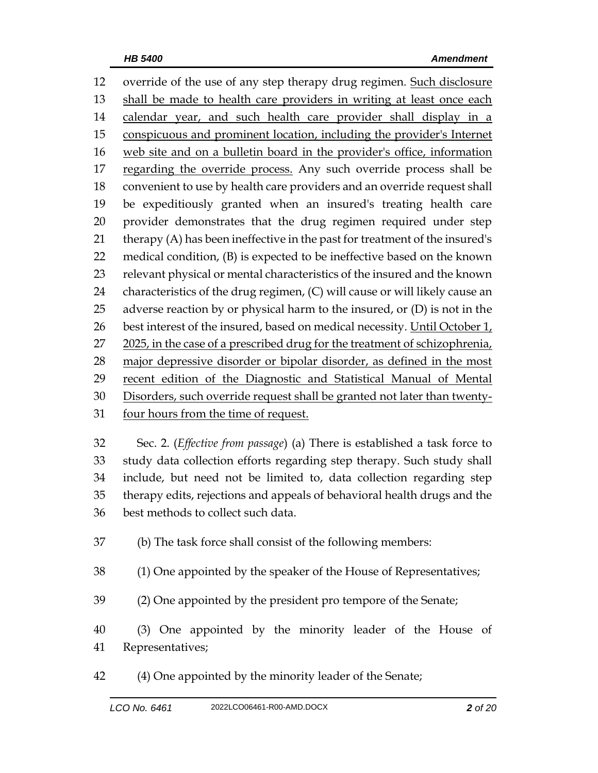override of the use of any step therapy drug regimen. Such disclosure shall be made to health care providers in writing at least once each 14 calendar year, and such health care provider shall display in a conspicuous and prominent location, including the provider's Internet web site and on a bulletin board in the provider's office, information 17 regarding the override process. Any such override process shall be convenient to use by health care providers and an override request shall be expeditiously granted when an insured's treating health care provider demonstrates that the drug regimen required under step therapy (A) has been ineffective in the past for treatment of the insured's medical condition, (B) is expected to be ineffective based on the known relevant physical or mental characteristics of the insured and the known characteristics of the drug regimen, (C) will cause or will likely cause an adverse reaction by or physical harm to the insured, or (D) is not in the 26 best interest of the insured, based on medical necessity. Until October  $1_t$  2025, in the case of a prescribed drug for the treatment of schizophrenia, major depressive disorder or bipolar disorder, as defined in the most recent edition of the Diagnostic and Statistical Manual of Mental Disorders, such override request shall be granted not later than twenty-four hours from the time of request.

 Sec. 2. (*Effective from passage*) (a) There is established a task force to study data collection efforts regarding step therapy. Such study shall include, but need not be limited to, data collection regarding step therapy edits, rejections and appeals of behavioral health drugs and the best methods to collect such data.

(b) The task force shall consist of the following members:

(1) One appointed by the speaker of the House of Representatives;

(2) One appointed by the president pro tempore of the Senate;

 (3) One appointed by the minority leader of the House of Representatives;

(4) One appointed by the minority leader of the Senate;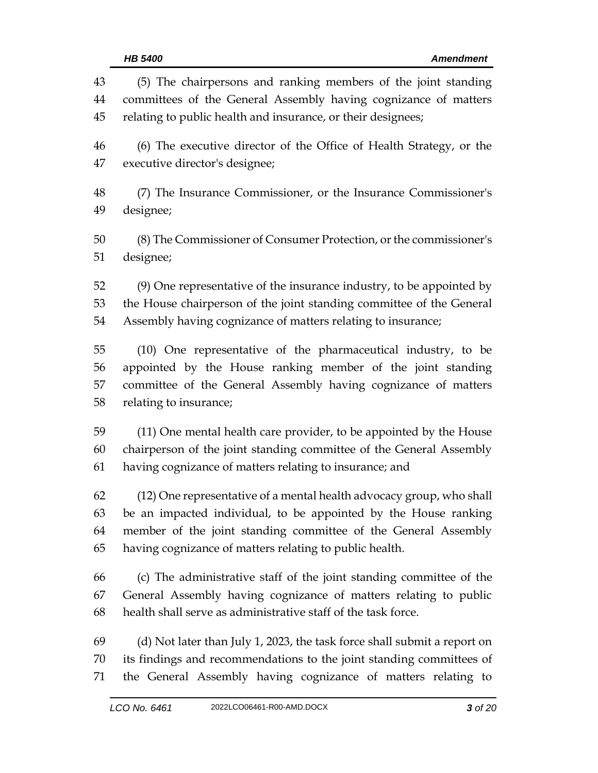| 43 | (5) The chairpersons and ranking members of the joint standing           |  |  |  |
|----|--------------------------------------------------------------------------|--|--|--|
| 44 | committees of the General Assembly having cognizance of matters          |  |  |  |
| 45 | relating to public health and insurance, or their designees;             |  |  |  |
| 46 | (6) The executive director of the Office of Health Strategy, or the      |  |  |  |
| 47 | executive director's designee;                                           |  |  |  |
| 48 | (7) The Insurance Commissioner, or the Insurance Commissioner's          |  |  |  |
| 49 | designee;                                                                |  |  |  |
| 50 | (8) The Commissioner of Consumer Protection, or the commissioner's       |  |  |  |
| 51 | designee;                                                                |  |  |  |
| 52 | (9) One representative of the insurance industry, to be appointed by     |  |  |  |
| 53 | the House chairperson of the joint standing committee of the General     |  |  |  |
| 54 | Assembly having cognizance of matters relating to insurance;             |  |  |  |
| 55 | (10) One representative of the pharmaceutical industry, to be            |  |  |  |
| 56 | appointed by the House ranking member of the joint standing              |  |  |  |
| 57 | committee of the General Assembly having cognizance of matters           |  |  |  |
| 58 | relating to insurance;                                                   |  |  |  |
| 59 | (11) One mental health care provider, to be appointed by the House       |  |  |  |
| 60 | chairperson of the joint standing committee of the General Assembly      |  |  |  |
| 61 | having cognizance of matters relating to insurance; and                  |  |  |  |
| 62 | (12) One representative of a mental health advocacy group, who shall     |  |  |  |
| 63 | be an impacted individual, to be appointed by the House ranking          |  |  |  |
| 64 | member of the joint standing committee of the General Assembly           |  |  |  |
| 65 | having cognizance of matters relating to public health.                  |  |  |  |
| 66 | (c) The administrative staff of the joint standing committee of the      |  |  |  |
| 67 | General Assembly having cognizance of matters relating to public         |  |  |  |
| 68 | health shall serve as administrative staff of the task force.            |  |  |  |
| 69 | (d) Not later than July 1, 2023, the task force shall submit a report on |  |  |  |
| 70 | its findings and recommendations to the joint standing committees of     |  |  |  |
| 71 | the General Assembly having cognizance of matters relating to            |  |  |  |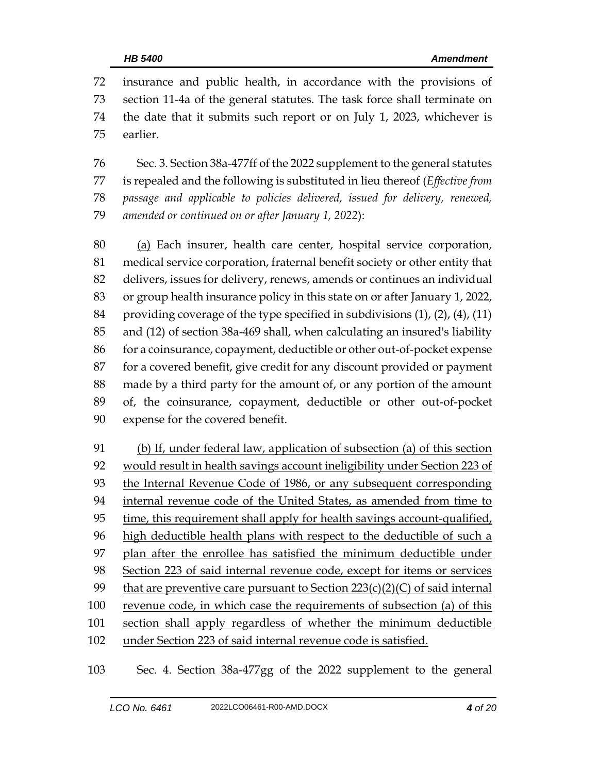insurance and public health, in accordance with the provisions of section 11-4a of the general statutes. The task force shall terminate on the date that it submits such report or on July 1, 2023, whichever is earlier.

 Sec. 3. Section 38a-477ff of the 2022 supplement to the general statutes is repealed and the following is substituted in lieu thereof (*Effective from passage and applicable to policies delivered, issued for delivery, renewed, amended or continued on or after January 1, 2022*):

 (a) Each insurer, health care center, hospital service corporation, medical service corporation, fraternal benefit society or other entity that delivers, issues for delivery, renews, amends or continues an individual or group health insurance policy in this state on or after January 1, 2022, providing coverage of the type specified in subdivisions (1), (2), (4), (11) and (12) of section 38a-469 shall, when calculating an insured's liability for a coinsurance, copayment, deductible or other out-of-pocket expense for a covered benefit, give credit for any discount provided or payment made by a third party for the amount of, or any portion of the amount of, the coinsurance, copayment, deductible or other out-of-pocket expense for the covered benefit.

 (b) If, under federal law, application of subsection (a) of this section 92 would result in health savings account ineligibility under Section 223 of the Internal Revenue Code of 1986, or any subsequent corresponding internal revenue code of the United States, as amended from time to 95 time, this requirement shall apply for health savings account-qualified, 96 high deductible health plans with respect to the deductible of such a plan after the enrollee has satisfied the minimum deductible under Section 223 of said internal revenue code, except for items or services 99 that are preventive care pursuant to Section  $223(c)(2)(C)$  of said internal 100 revenue code, in which case the requirements of subsection (a) of this section shall apply regardless of whether the minimum deductible under Section 223 of said internal revenue code is satisfied.

Sec. 4. Section 38a-477gg of the 2022 supplement to the general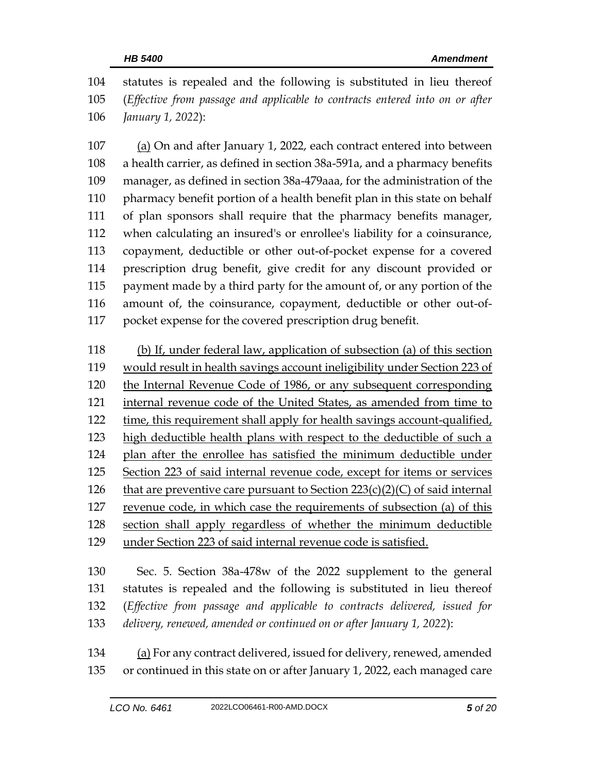statutes is repealed and the following is substituted in lieu thereof (*Effective from passage and applicable to contracts entered into on or after January 1, 2022*):

 (a) On and after January 1, 2022, each contract entered into between a health carrier, as defined in section 38a-591a, and a pharmacy benefits manager, as defined in section 38a-479aaa, for the administration of the pharmacy benefit portion of a health benefit plan in this state on behalf of plan sponsors shall require that the pharmacy benefits manager, when calculating an insured's or enrollee's liability for a coinsurance, copayment, deductible or other out-of-pocket expense for a covered prescription drug benefit, give credit for any discount provided or payment made by a third party for the amount of, or any portion of the amount of, the coinsurance, copayment, deductible or other out-of-pocket expense for the covered prescription drug benefit.

 (b) If, under federal law, application of subsection (a) of this section would result in health savings account ineligibility under Section 223 of the Internal Revenue Code of 1986, or any subsequent corresponding 121 internal revenue code of the United States, as amended from time to time, this requirement shall apply for health savings account-qualified, 123 high deductible health plans with respect to the deductible of such a plan after the enrollee has satisfied the minimum deductible under Section 223 of said internal revenue code, except for items or services 126 that are preventive care pursuant to Section  $223(c)(2)(C)$  of said internal revenue code, in which case the requirements of subsection (a) of this section shall apply regardless of whether the minimum deductible under Section 223 of said internal revenue code is satisfied.

 Sec. 5. Section 38a-478w of the 2022 supplement to the general statutes is repealed and the following is substituted in lieu thereof (*Effective from passage and applicable to contracts delivered, issued for delivery, renewed, amended or continued on or after January 1, 2022*):

 (a) For any contract delivered, issued for delivery, renewed, amended or continued in this state on or after January 1, 2022, each managed care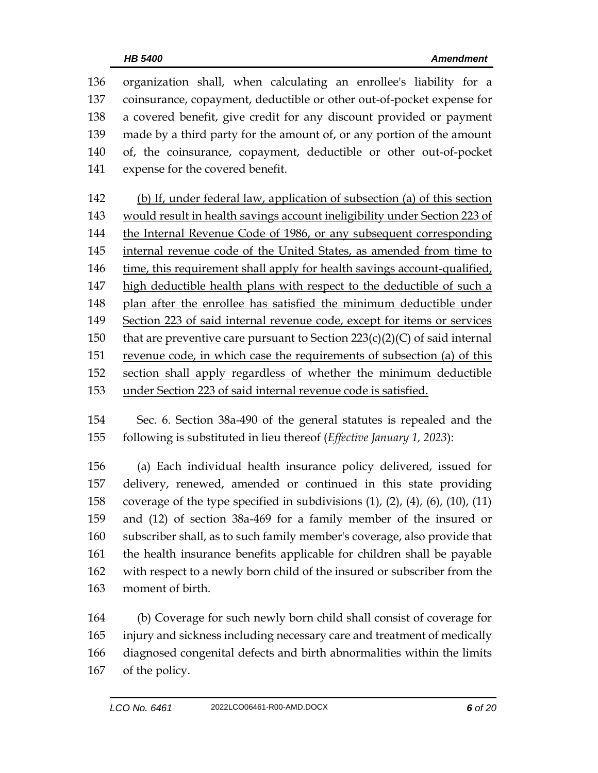organization shall, when calculating an enrollee's liability for a coinsurance, copayment, deductible or other out-of-pocket expense for a covered benefit, give credit for any discount provided or payment made by a third party for the amount of, or any portion of the amount of, the coinsurance, copayment, deductible or other out-of-pocket expense for the covered benefit. (b) If, under federal law, application of subsection (a) of this section would result in health savings account ineligibility under Section 223 of the Internal Revenue Code of 1986, or any subsequent corresponding 145 internal revenue code of the United States, as amended from time to time, this requirement shall apply for health savings account-qualified, high deductible health plans with respect to the deductible of such a plan after the enrollee has satisfied the minimum deductible under Section 223 of said internal revenue code, except for items or services 150 that are preventive care pursuant to Section  $223(c)(2)(C)$  of said internal revenue code, in which case the requirements of subsection (a) of this section shall apply regardless of whether the minimum deductible

under Section 223 of said internal revenue code is satisfied.

 Sec. 6. Section 38a-490 of the general statutes is repealed and the following is substituted in lieu thereof (*Effective January 1, 2023*):

 (a) Each individual health insurance policy delivered, issued for delivery, renewed, amended or continued in this state providing coverage of the type specified in subdivisions (1), (2), (4), (6), (10), (11) and (12) of section 38a-469 for a family member of the insured or subscriber shall, as to such family member's coverage, also provide that the health insurance benefits applicable for children shall be payable with respect to a newly born child of the insured or subscriber from the moment of birth.

 (b) Coverage for such newly born child shall consist of coverage for injury and sickness including necessary care and treatment of medically diagnosed congenital defects and birth abnormalities within the limits of the policy.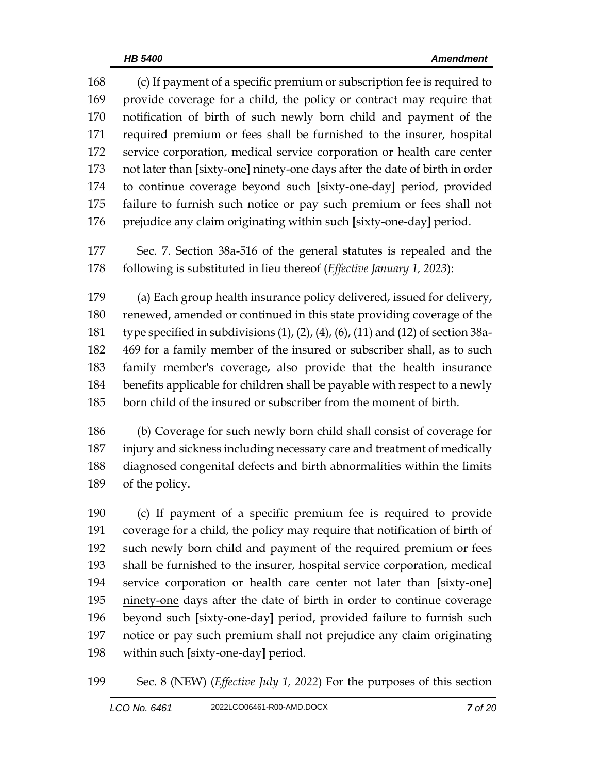(c) If payment of a specific premium or subscription fee is required to provide coverage for a child, the policy or contract may require that notification of birth of such newly born child and payment of the required premium or fees shall be furnished to the insurer, hospital service corporation, medical service corporation or health care center not later than **[**sixty-one**]** ninety-one days after the date of birth in order to continue coverage beyond such **[**sixty-one-day**]** period, provided failure to furnish such notice or pay such premium or fees shall not prejudice any claim originating within such **[**sixty-one-day**]** period.

 Sec. 7. Section 38a-516 of the general statutes is repealed and the following is substituted in lieu thereof (*Effective January 1, 2023*):

 (a) Each group health insurance policy delivered, issued for delivery, renewed, amended or continued in this state providing coverage of the type specified in subdivisions (1), (2), (4), (6), (11) and (12) of section 38a- 469 for a family member of the insured or subscriber shall, as to such family member's coverage, also provide that the health insurance benefits applicable for children shall be payable with respect to a newly born child of the insured or subscriber from the moment of birth.

 (b) Coverage for such newly born child shall consist of coverage for injury and sickness including necessary care and treatment of medically diagnosed congenital defects and birth abnormalities within the limits of the policy.

 (c) If payment of a specific premium fee is required to provide coverage for a child, the policy may require that notification of birth of such newly born child and payment of the required premium or fees shall be furnished to the insurer, hospital service corporation, medical service corporation or health care center not later than **[**sixty-one**]** 195 ninety-one days after the date of birth in order to continue coverage beyond such **[**sixty-one-day**]** period, provided failure to furnish such notice or pay such premium shall not prejudice any claim originating within such **[**sixty-one-day**]** period.

Sec. 8 (NEW) (*Effective July 1, 2022*) For the purposes of this section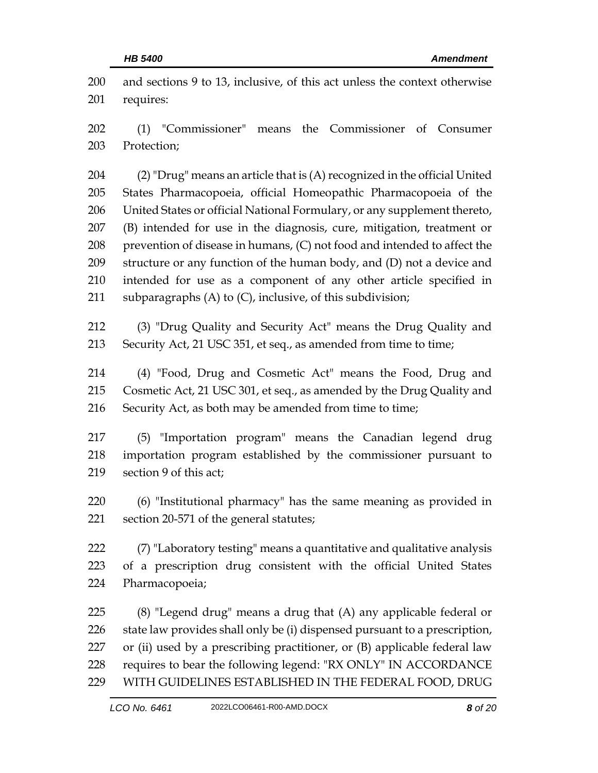| 200<br>201 | and sections 9 to 13, inclusive, of this act unless the context otherwise<br>requires: |  |  |
|------------|----------------------------------------------------------------------------------------|--|--|
| 202        | (1) "Commissioner" means the Commissioner of Consumer                                  |  |  |
| 203        | Protection;                                                                            |  |  |
| 204        | (2) "Drug" means an article that is (A) recognized in the official United              |  |  |
| 205        | States Pharmacopoeia, official Homeopathic Pharmacopoeia of the                        |  |  |
| 206        | United States or official National Formulary, or any supplement thereto,               |  |  |
| 207        | (B) intended for use in the diagnosis, cure, mitigation, treatment or                  |  |  |
| 208        | prevention of disease in humans, (C) not food and intended to affect the               |  |  |
| 209        | structure or any function of the human body, and (D) not a device and                  |  |  |
| 210        | intended for use as a component of any other article specified in                      |  |  |
| 211        | subparagraphs (A) to (C), inclusive, of this subdivision;                              |  |  |
| 212        | (3) "Drug Quality and Security Act" means the Drug Quality and                         |  |  |
| 213        | Security Act, 21 USC 351, et seq., as amended from time to time;                       |  |  |
| 214        | (4) "Food, Drug and Cosmetic Act" means the Food, Drug and                             |  |  |
| 215        | Cosmetic Act, 21 USC 301, et seq., as amended by the Drug Quality and                  |  |  |
| 216        | Security Act, as both may be amended from time to time;                                |  |  |
| 217        | (5) "Importation program" means the Canadian legend drug                               |  |  |
| 218        | importation program established by the commissioner pursuant to                        |  |  |
| 219        | section 9 of this act;                                                                 |  |  |
| 220        | (6) "Institutional pharmacy" has the same meaning as provided in                       |  |  |
| 221        | section 20-571 of the general statutes;                                                |  |  |
| 222        | (7) "Laboratory testing" means a quantitative and qualitative analysis                 |  |  |
| 223        | of a prescription drug consistent with the official United States                      |  |  |
| 224        | Pharmacopoeia;                                                                         |  |  |
| 225        | (8) "Legend drug" means a drug that (A) any applicable federal or                      |  |  |
| 226        | state law provides shall only be (i) dispensed pursuant to a prescription,             |  |  |
| 227        | or (ii) used by a prescribing practitioner, or (B) applicable federal law              |  |  |
| 228        | requires to bear the following legend: "RX ONLY" IN ACCORDANCE                         |  |  |
| 229        | WITH GUIDELINES ESTABLISHED IN THE FEDERAL FOOD, DRUG                                  |  |  |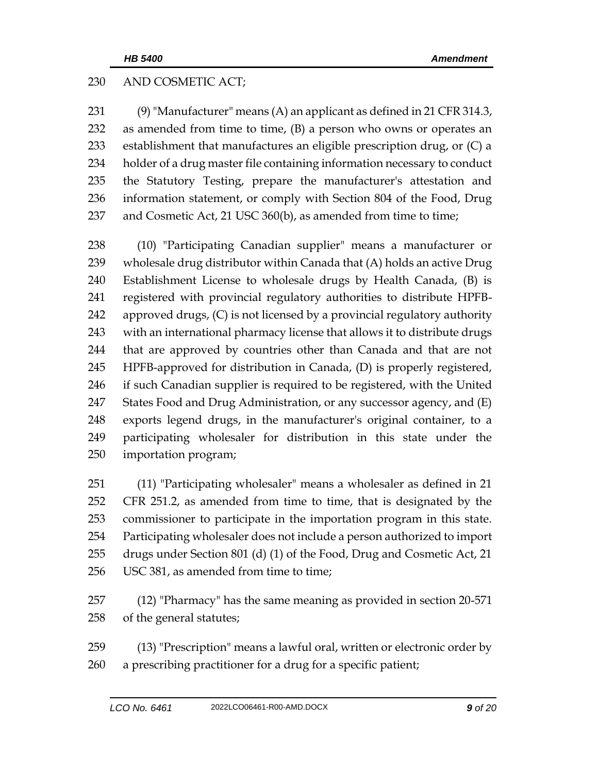## AND COSMETIC ACT;

 (9) "Manufacturer" means (A) an applicant as defined in 21 CFR 314.3, as amended from time to time, (B) a person who owns or operates an establishment that manufactures an eligible prescription drug, or (C) a holder of a drug master file containing information necessary to conduct the Statutory Testing, prepare the manufacturer's attestation and information statement, or comply with Section 804 of the Food, Drug 237 and Cosmetic Act, 21 USC 360(b), as amended from time to time;

 (10) "Participating Canadian supplier" means a manufacturer or wholesale drug distributor within Canada that (A) holds an active Drug Establishment License to wholesale drugs by Health Canada, (B) is registered with provincial regulatory authorities to distribute HPFB- approved drugs, (C) is not licensed by a provincial regulatory authority with an international pharmacy license that allows it to distribute drugs that are approved by countries other than Canada and that are not HPFB-approved for distribution in Canada, (D) is properly registered, if such Canadian supplier is required to be registered, with the United States Food and Drug Administration, or any successor agency, and (E) exports legend drugs, in the manufacturer's original container, to a participating wholesaler for distribution in this state under the importation program;

 (11) "Participating wholesaler" means a wholesaler as defined in 21 CFR 251.2, as amended from time to time, that is designated by the commissioner to participate in the importation program in this state. Participating wholesaler does not include a person authorized to import drugs under Section 801 (d) (1) of the Food, Drug and Cosmetic Act, 21 256 USC 381, as amended from time to time;

 (12) "Pharmacy" has the same meaning as provided in section 20-571 of the general statutes;

 (13) "Prescription" means a lawful oral, written or electronic order by a prescribing practitioner for a drug for a specific patient;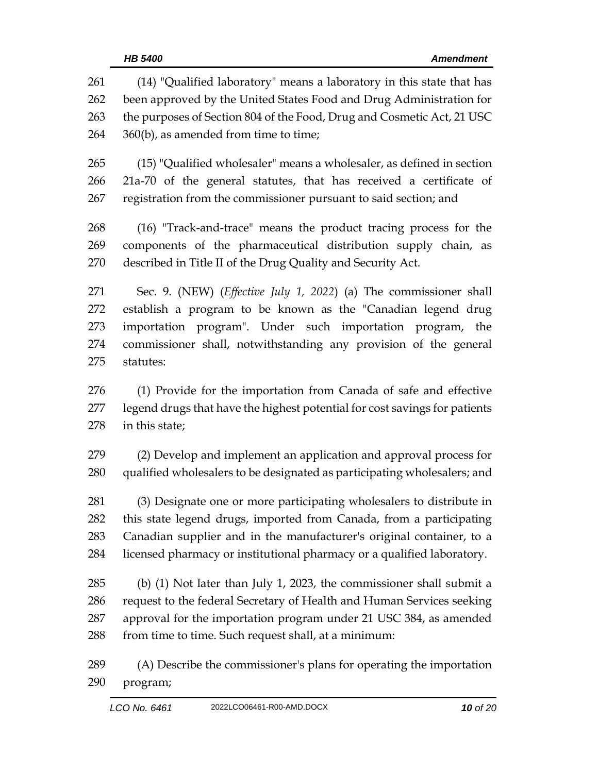| 261<br>262<br>263<br>264 | (14) "Qualified laboratory" means a laboratory in this state that has<br>been approved by the United States Food and Drug Administration for<br>the purposes of Section 804 of the Food, Drug and Cosmetic Act, 21 USC<br>360(b), as amended from time to time; |  |  |  |
|--------------------------|-----------------------------------------------------------------------------------------------------------------------------------------------------------------------------------------------------------------------------------------------------------------|--|--|--|
|                          |                                                                                                                                                                                                                                                                 |  |  |  |
| 265                      | (15) "Qualified wholesaler" means a wholesaler, as defined in section                                                                                                                                                                                           |  |  |  |
| 266                      | 21a-70 of the general statutes, that has received a certificate of                                                                                                                                                                                              |  |  |  |
| 267                      | registration from the commissioner pursuant to said section; and                                                                                                                                                                                                |  |  |  |
| 268                      | (16) "Track-and-trace" means the product tracing process for the                                                                                                                                                                                                |  |  |  |
| 269                      | components of the pharmaceutical distribution supply chain, as                                                                                                                                                                                                  |  |  |  |
| 270                      | described in Title II of the Drug Quality and Security Act.                                                                                                                                                                                                     |  |  |  |
| 271                      | Sec. 9. (NEW) (Effective July 1, 2022) (a) The commissioner shall                                                                                                                                                                                               |  |  |  |
| 272                      | establish a program to be known as the "Canadian legend drug                                                                                                                                                                                                    |  |  |  |
| 273                      | importation program". Under such importation program, the                                                                                                                                                                                                       |  |  |  |
| 274                      | commissioner shall, notwithstanding any provision of the general                                                                                                                                                                                                |  |  |  |
| 275                      | statutes:                                                                                                                                                                                                                                                       |  |  |  |
| 276                      | (1) Provide for the importation from Canada of safe and effective                                                                                                                                                                                               |  |  |  |
| 277                      | legend drugs that have the highest potential for cost savings for patients                                                                                                                                                                                      |  |  |  |
| 278                      | in this state;                                                                                                                                                                                                                                                  |  |  |  |
| 279                      | (2) Develop and implement an application and approval process for                                                                                                                                                                                               |  |  |  |
| 280                      | qualified wholesalers to be designated as participating wholesalers; and                                                                                                                                                                                        |  |  |  |
| 281                      | (3) Designate one or more participating wholesalers to distribute in                                                                                                                                                                                            |  |  |  |
| 282                      |                                                                                                                                                                                                                                                                 |  |  |  |
|                          | this state legend drugs, imported from Canada, from a participating                                                                                                                                                                                             |  |  |  |
| 283                      | Canadian supplier and in the manufacturer's original container, to a                                                                                                                                                                                            |  |  |  |
| 284                      | licensed pharmacy or institutional pharmacy or a qualified laboratory.                                                                                                                                                                                          |  |  |  |
| 285                      | (b) $(1)$ Not later than July 1, 2023, the commissioner shall submit a                                                                                                                                                                                          |  |  |  |
| 286                      | request to the federal Secretary of Health and Human Services seeking                                                                                                                                                                                           |  |  |  |
| 287                      | approval for the importation program under 21 USC 384, as amended                                                                                                                                                                                               |  |  |  |
| 288                      | from time to time. Such request shall, at a minimum:                                                                                                                                                                                                            |  |  |  |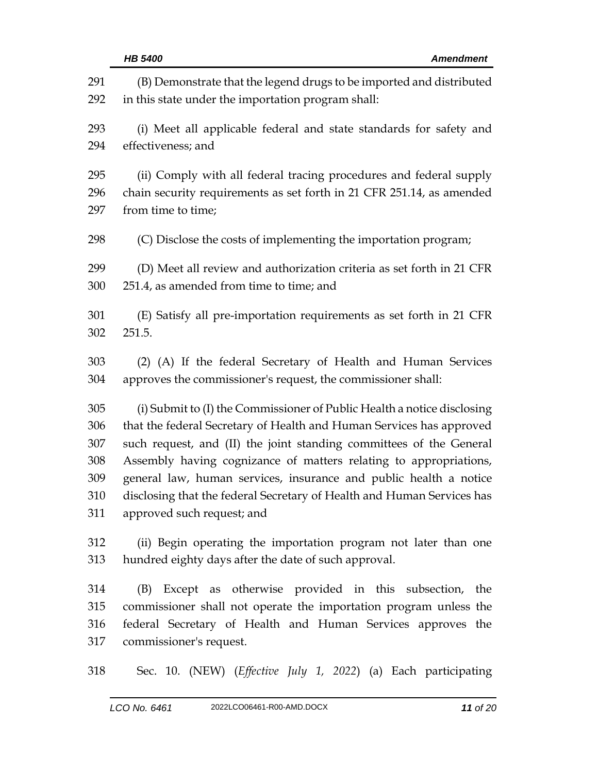|            | HB 5400<br><b>Amendment</b>                                                                                                |  |  |
|------------|----------------------------------------------------------------------------------------------------------------------------|--|--|
| 291<br>292 | (B) Demonstrate that the legend drugs to be imported and distributed<br>in this state under the importation program shall: |  |  |
| 293        | (i) Meet all applicable federal and state standards for safety and                                                         |  |  |
| 294        | effectiveness; and                                                                                                         |  |  |
| 295        | (ii) Comply with all federal tracing procedures and federal supply                                                         |  |  |
| 296        | chain security requirements as set forth in 21 CFR 251.14, as amended                                                      |  |  |
| 297        | from time to time;                                                                                                         |  |  |
| 298        | (C) Disclose the costs of implementing the importation program;                                                            |  |  |
| 299        | (D) Meet all review and authorization criteria as set forth in 21 CFR                                                      |  |  |
| 300        | 251.4, as amended from time to time; and                                                                                   |  |  |
| 301        | (E) Satisfy all pre-importation requirements as set forth in 21 CFR                                                        |  |  |
| 302        | 251.5.                                                                                                                     |  |  |
| 303        | (2) (A) If the federal Secretary of Health and Human Services                                                              |  |  |
| 304        | approves the commissioner's request, the commissioner shall:                                                               |  |  |
| 305        | (i) Submit to (I) the Commissioner of Public Health a notice disclosing                                                    |  |  |
| 306        | that the federal Secretary of Health and Human Services has approved                                                       |  |  |
| 307        | such request, and (II) the joint standing committees of the General                                                        |  |  |
| 308        | Assembly having cognizance of matters relating to appropriations,                                                          |  |  |
| 309        | general law, human services, insurance and public health a notice                                                          |  |  |
| 310        | disclosing that the federal Secretary of Health and Human Services has                                                     |  |  |
| 311        | approved such request; and                                                                                                 |  |  |
| 312        | (ii) Begin operating the importation program not later than one                                                            |  |  |
| 313        | hundred eighty days after the date of such approval.                                                                       |  |  |
| 314        | (B) Except as otherwise provided in this subsection, the                                                                   |  |  |
| 315        | commissioner shall not operate the importation program unless the                                                          |  |  |
| 316        | federal Secretary of Health and Human Services approves the                                                                |  |  |
| 317        | commissioner's request.                                                                                                    |  |  |
| 318        | Sec. 10. (NEW) (Effective July 1, 2022) (a) Each participating                                                             |  |  |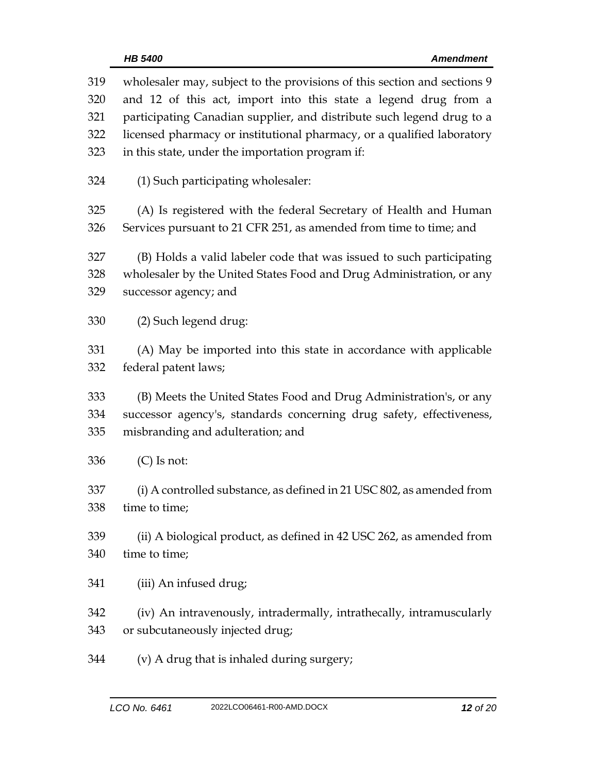| 319<br>320<br>321 | wholesaler may, subject to the provisions of this section and sections 9<br>and 12 of this act, import into this state a legend drug from a |  |  |  |
|-------------------|---------------------------------------------------------------------------------------------------------------------------------------------|--|--|--|
|                   | participating Canadian supplier, and distribute such legend drug to a                                                                       |  |  |  |
| 322               | licensed pharmacy or institutional pharmacy, or a qualified laboratory                                                                      |  |  |  |
| 323               | in this state, under the importation program if:                                                                                            |  |  |  |
| 324               | (1) Such participating wholesaler:                                                                                                          |  |  |  |
| 325               | (A) Is registered with the federal Secretary of Health and Human                                                                            |  |  |  |
| 326               | Services pursuant to 21 CFR 251, as amended from time to time; and                                                                          |  |  |  |
|                   |                                                                                                                                             |  |  |  |
| 327               | (B) Holds a valid labeler code that was issued to such participating                                                                        |  |  |  |
| 328               | wholesaler by the United States Food and Drug Administration, or any                                                                        |  |  |  |
| 329               | successor agency; and                                                                                                                       |  |  |  |
|                   |                                                                                                                                             |  |  |  |
| 330               | (2) Such legend drug:                                                                                                                       |  |  |  |
|                   |                                                                                                                                             |  |  |  |
| 331               | (A) May be imported into this state in accordance with applicable                                                                           |  |  |  |
| 332               | federal patent laws;                                                                                                                        |  |  |  |
|                   |                                                                                                                                             |  |  |  |
| 333               | (B) Meets the United States Food and Drug Administration's, or any                                                                          |  |  |  |
| 334               | successor agency's, standards concerning drug safety, effectiveness,                                                                        |  |  |  |
| 335               | misbranding and adulteration; and                                                                                                           |  |  |  |
| 336               | $(C)$ Is not:                                                                                                                               |  |  |  |
| 337               | (i) A controlled substance, as defined in 21 USC 802, as amended from                                                                       |  |  |  |
|                   |                                                                                                                                             |  |  |  |
| 338               | time to time;                                                                                                                               |  |  |  |
| 339               | (ii) A biological product, as defined in 42 USC 262, as amended from                                                                        |  |  |  |
|                   | time to time;                                                                                                                               |  |  |  |
| 340               |                                                                                                                                             |  |  |  |
| 341               | (iii) An infused drug;                                                                                                                      |  |  |  |
|                   |                                                                                                                                             |  |  |  |
| 342               | (iv) An intravenously, intradermally, intrathecally, intramuscularly                                                                        |  |  |  |
| 343               | or subcutaneously injected drug;                                                                                                            |  |  |  |
|                   |                                                                                                                                             |  |  |  |
| 344               | (v) A drug that is inhaled during surgery;                                                                                                  |  |  |  |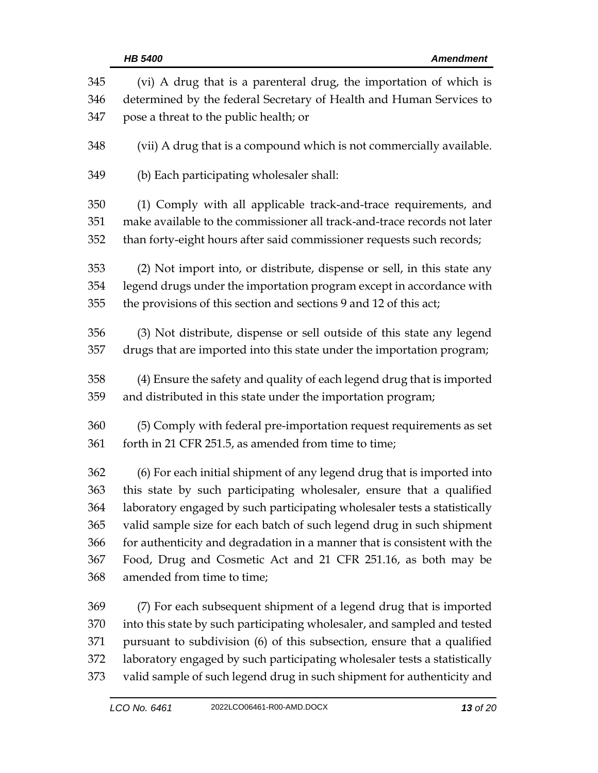| 345 | (vi) A drug that is a parenteral drug, the importation of which is        |
|-----|---------------------------------------------------------------------------|
| 346 | determined by the federal Secretary of Health and Human Services to       |
| 347 | pose a threat to the public health; or                                    |
| 348 | (vii) A drug that is a compound which is not commercially available.      |
| 349 | (b) Each participating wholesaler shall:                                  |
| 350 | (1) Comply with all applicable track-and-trace requirements, and          |
| 351 | make available to the commissioner all track-and-trace records not later  |
| 352 | than forty-eight hours after said commissioner requests such records;     |
| 353 | (2) Not import into, or distribute, dispense or sell, in this state any   |
| 354 | legend drugs under the importation program except in accordance with      |
| 355 | the provisions of this section and sections 9 and 12 of this act;         |
| 356 | (3) Not distribute, dispense or sell outside of this state any legend     |
| 357 | drugs that are imported into this state under the importation program;    |
| 358 | (4) Ensure the safety and quality of each legend drug that is imported    |
| 359 | and distributed in this state under the importation program;              |
| 360 | (5) Comply with federal pre-importation request requirements as set       |
| 361 | forth in 21 CFR 251.5, as amended from time to time;                      |
| 362 | (6) For each initial shipment of any legend drug that is imported into    |
| 363 | this state by such participating wholesaler, ensure that a qualified      |
| 364 | laboratory engaged by such participating wholesaler tests a statistically |
| 365 | valid sample size for each batch of such legend drug in such shipment     |
| 366 | for authenticity and degradation in a manner that is consistent with the  |
| 367 | Food, Drug and Cosmetic Act and 21 CFR 251.16, as both may be             |
| 368 | amended from time to time;                                                |
| 369 | (7) For each subsequent shipment of a legend drug that is imported        |
| 370 | into this state by such participating wholesaler, and sampled and tested  |
| 371 | pursuant to subdivision (6) of this subsection, ensure that a qualified   |
| 372 | laboratory engaged by such participating wholesaler tests a statistically |
| 373 | valid sample of such legend drug in such shipment for authenticity and    |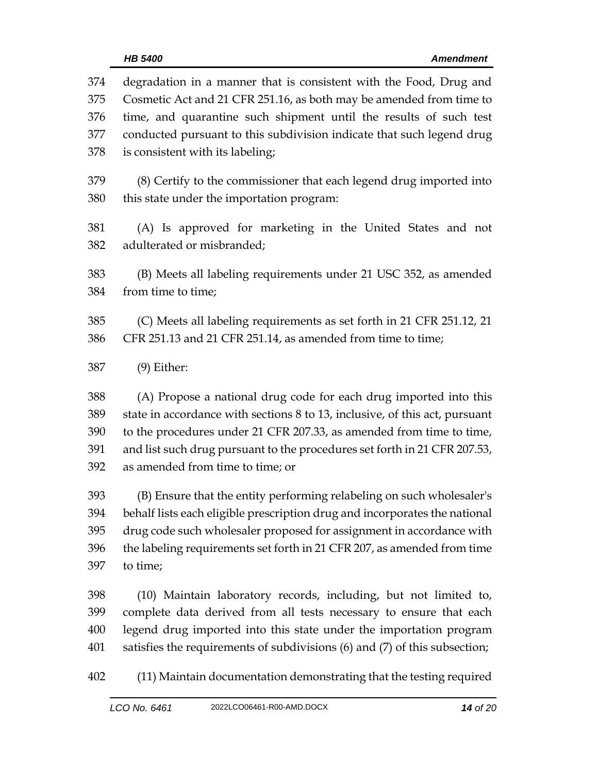| 374 | degradation in a manner that is consistent with the Food, Drug and          |
|-----|-----------------------------------------------------------------------------|
| 375 | Cosmetic Act and 21 CFR 251.16, as both may be amended from time to         |
| 376 | time, and quarantine such shipment until the results of such test           |
| 377 | conducted pursuant to this subdivision indicate that such legend drug       |
| 378 | is consistent with its labeling;                                            |
| 379 | (8) Certify to the commissioner that each legend drug imported into         |
| 380 | this state under the importation program:                                   |
| 381 | (A) Is approved for marketing in the United States and not                  |
| 382 | adulterated or misbranded;                                                  |
| 383 | (B) Meets all labeling requirements under 21 USC 352, as amended            |
| 384 | from time to time;                                                          |
| 385 | (C) Meets all labeling requirements as set forth in 21 CFR 251.12, 21       |
| 386 | CFR 251.13 and 21 CFR 251.14, as amended from time to time;                 |
| 387 | $(9)$ Either:                                                               |
| 388 | (A) Propose a national drug code for each drug imported into this           |
| 389 | state in accordance with sections 8 to 13, inclusive, of this act, pursuant |
| 390 | to the procedures under 21 CFR 207.33, as amended from time to time,        |
| 391 | and list such drug pursuant to the procedures set forth in 21 CFR 207.53,   |
| 392 | as amended from time to time; or                                            |
| 393 | (B) Ensure that the entity performing relabeling on such wholesaler's       |
| 394 | behalf lists each eligible prescription drug and incorporates the national  |
| 395 | drug code such wholesaler proposed for assignment in accordance with        |
| 396 | the labeling requirements set forth in 21 CFR 207, as amended from time     |
| 397 | to time;                                                                    |
| 398 | (10) Maintain laboratory records, including, but not limited to,            |
| 399 | complete data derived from all tests necessary to ensure that each          |
| 400 | legend drug imported into this state under the importation program          |
| 401 | satisfies the requirements of subdivisions (6) and (7) of this subsection;  |

(11) Maintain documentation demonstrating that the testing required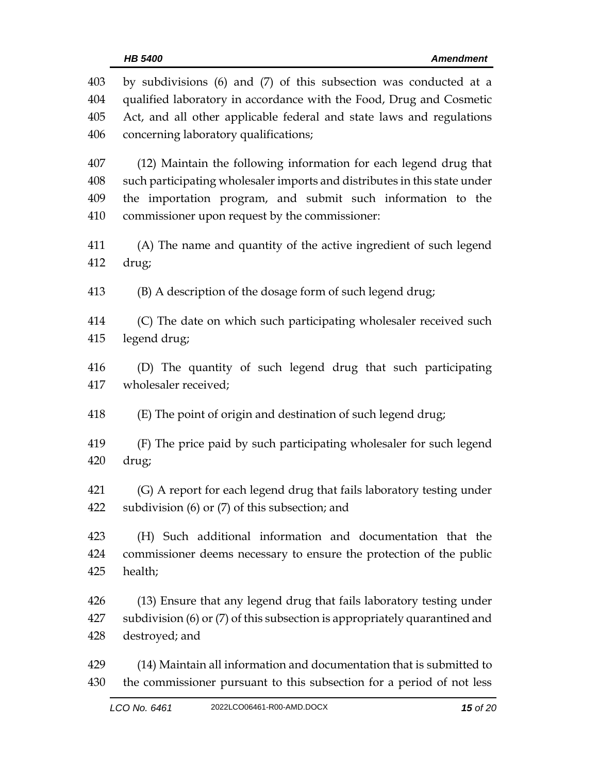| 403 | by subdivisions (6) and (7) of this subsection was conducted at a          |  |  |  |
|-----|----------------------------------------------------------------------------|--|--|--|
| 404 | qualified laboratory in accordance with the Food, Drug and Cosmetic        |  |  |  |
| 405 | Act, and all other applicable federal and state laws and regulations       |  |  |  |
| 406 | concerning laboratory qualifications;                                      |  |  |  |
| 407 | (12) Maintain the following information for each legend drug that          |  |  |  |
| 408 | such participating wholesaler imports and distributes in this state under  |  |  |  |
| 409 | the importation program, and submit such information to the                |  |  |  |
| 410 | commissioner upon request by the commissioner:                             |  |  |  |
| 411 | (A) The name and quantity of the active ingredient of such legend          |  |  |  |
| 412 | drug;                                                                      |  |  |  |
| 413 | (B) A description of the dosage form of such legend drug;                  |  |  |  |
| 414 | (C) The date on which such participating wholesaler received such          |  |  |  |
| 415 | legend drug;                                                               |  |  |  |
| 416 | (D) The quantity of such legend drug that such participating               |  |  |  |
| 417 | wholesaler received;                                                       |  |  |  |
| 418 | (E) The point of origin and destination of such legend drug;               |  |  |  |
| 419 | (F) The price paid by such participating wholesaler for such legend        |  |  |  |
| 420 | drug;                                                                      |  |  |  |
| 421 | (G) A report for each legend drug that fails laboratory testing under      |  |  |  |
| 422 | subdivision $(6)$ or $(7)$ of this subsection; and                         |  |  |  |
| 423 | (H) Such additional information and documentation that the                 |  |  |  |
| 424 | commissioner deems necessary to ensure the protection of the public        |  |  |  |
| 425 | health;                                                                    |  |  |  |
| 426 | (13) Ensure that any legend drug that fails laboratory testing under       |  |  |  |
| 427 | subdivision (6) or (7) of this subsection is appropriately quarantined and |  |  |  |
| 428 | destroyed; and                                                             |  |  |  |
| 429 | (14) Maintain all information and documentation that is submitted to       |  |  |  |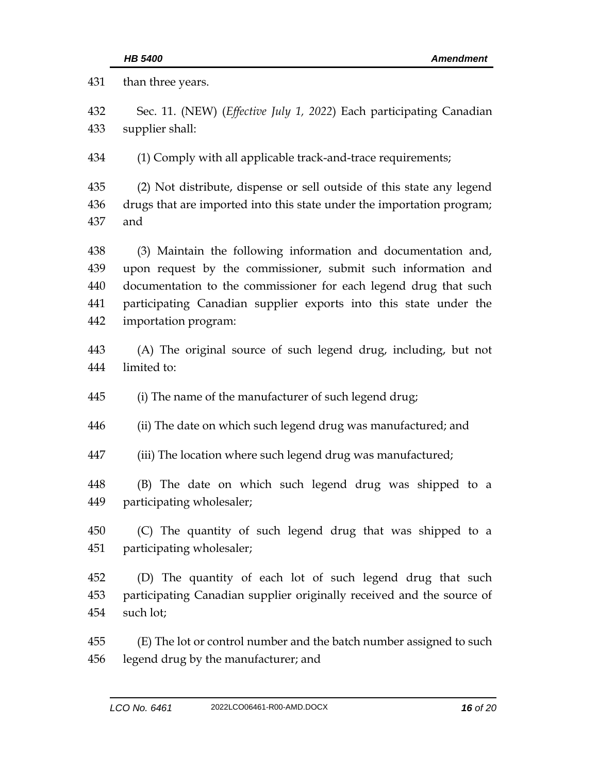than three years. Sec. 11. (NEW) (*Effective July 1, 2022*) Each participating Canadian supplier shall: (1) Comply with all applicable track-and-trace requirements; (2) Not distribute, dispense or sell outside of this state any legend drugs that are imported into this state under the importation program; and (3) Maintain the following information and documentation and, upon request by the commissioner, submit such information and documentation to the commissioner for each legend drug that such participating Canadian supplier exports into this state under the importation program: (A) The original source of such legend drug, including, but not limited to: (i) The name of the manufacturer of such legend drug; (ii) The date on which such legend drug was manufactured; and (iii) The location where such legend drug was manufactured; (B) The date on which such legend drug was shipped to a participating wholesaler; (C) The quantity of such legend drug that was shipped to a participating wholesaler; (D) The quantity of each lot of such legend drug that such participating Canadian supplier originally received and the source of such lot; (E) The lot or control number and the batch number assigned to such legend drug by the manufacturer; and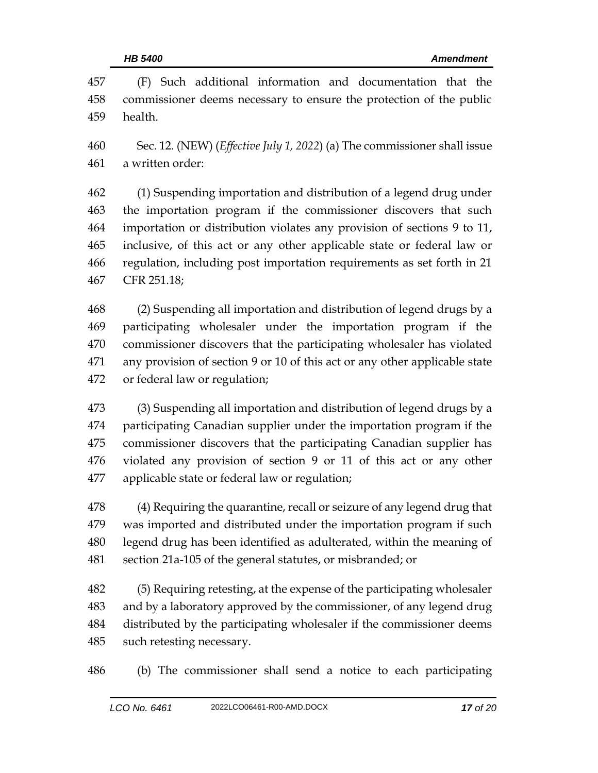| 457 | (F) Such additional information and documentation that the                        |
|-----|-----------------------------------------------------------------------------------|
| 458 | commissioner deems necessary to ensure the protection of the public               |
| 459 | health.                                                                           |
| 460 | Sec. 12. (NEW) ( <i>Effective July 1, 2022</i> ) (a) The commissioner shall issue |
| 461 | a written order:                                                                  |
| 462 | (1) Suspending importation and distribution of a legend drug under                |
| 463 | the importation program if the commissioner discovers that such                   |
| 464 | importation or distribution violates any provision of sections 9 to 11,           |
| 465 | inclusive, of this act or any other applicable state or federal law or            |
| 466 | regulation, including post importation requirements as set forth in 21            |
| 467 | CFR 251.18;                                                                       |
| 468 | (2) Suspending all importation and distribution of legend drugs by a              |
| 469 | participating wholesaler under the importation program if the                     |
| 470 | commissioner discovers that the participating wholesaler has violated             |
| 471 | any provision of section 9 or 10 of this act or any other applicable state        |
| 472 | or federal law or regulation;                                                     |
| 473 | (3) Suspending all importation and distribution of legend drugs by a              |
| 474 | participating Canadian supplier under the importation program if the              |
| 475 | commissioner discovers that the participating Canadian supplier has               |
| 476 | violated any provision of section 9 or 11 of this act or any other                |
| 477 | applicable state or federal law or regulation;                                    |
| 478 | (4) Requiring the quarantine, recall or seizure of any legend drug that           |
| 479 | was imported and distributed under the importation program if such                |
| 480 | legend drug has been identified as adulterated, within the meaning of             |
| 481 | section 21a-105 of the general statutes, or misbranded; or                        |
| 482 | (5) Requiring retesting, at the expense of the participating wholesaler           |
| 483 | and by a laboratory approved by the commissioner, of any legend drug              |
| 484 | distributed by the participating wholesaler if the commissioner deems             |
| 485 | such retesting necessary.                                                         |
| 486 | (b) The commissioner shall send a notice to each participating                    |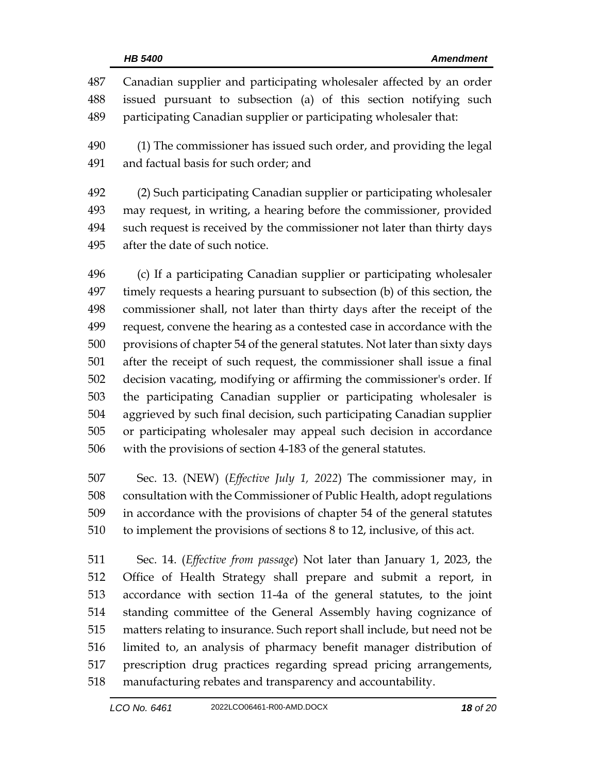| 487<br>488<br>489 | Canadian supplier and participating wholesaler affected by an order<br>issued pursuant to subsection (a) of this section notifying such<br>participating Canadian supplier or participating wholesaler that: |
|-------------------|--------------------------------------------------------------------------------------------------------------------------------------------------------------------------------------------------------------|
| 490<br>491        | (1) The commissioner has issued such order, and providing the legal<br>and factual basis for such order; and                                                                                                 |
| 492               | (2) Such participating Canadian supplier or participating wholesaler                                                                                                                                         |
| 493               | may request, in writing, a hearing before the commissioner, provided                                                                                                                                         |
| 494               | such request is received by the commissioner not later than thirty days                                                                                                                                      |
| 495               | after the date of such notice.                                                                                                                                                                               |
| 496               | (c) If a participating Canadian supplier or participating wholesaler                                                                                                                                         |
| 497               | timely requests a hearing pursuant to subsection (b) of this section, the                                                                                                                                    |
| 498               | commissioner shall, not later than thirty days after the receipt of the                                                                                                                                      |
| 499               | request, convene the hearing as a contested case in accordance with the                                                                                                                                      |
| 500               | provisions of chapter 54 of the general statutes. Not later than sixty days                                                                                                                                  |
| 501               |                                                                                                                                                                                                              |
|                   | after the receipt of such request, the commissioner shall issue a final                                                                                                                                      |
| 502               | decision vacating, modifying or affirming the commissioner's order. If                                                                                                                                       |
| 503               | the participating Canadian supplier or participating wholesaler is                                                                                                                                           |
| 504               | aggrieved by such final decision, such participating Canadian supplier                                                                                                                                       |
| 505               | or participating wholesaler may appeal such decision in accordance                                                                                                                                           |

 Sec. 13. (NEW) (*Effective July 1, 2022*) The commissioner may, in consultation with the Commissioner of Public Health, adopt regulations in accordance with the provisions of chapter 54 of the general statutes to implement the provisions of sections 8 to 12, inclusive, of this act.

 Sec. 14. (*Effective from passage*) Not later than January 1, 2023, the Office of Health Strategy shall prepare and submit a report, in accordance with section 11-4a of the general statutes, to the joint standing committee of the General Assembly having cognizance of matters relating to insurance. Such report shall include, but need not be limited to, an analysis of pharmacy benefit manager distribution of prescription drug practices regarding spread pricing arrangements, manufacturing rebates and transparency and accountability.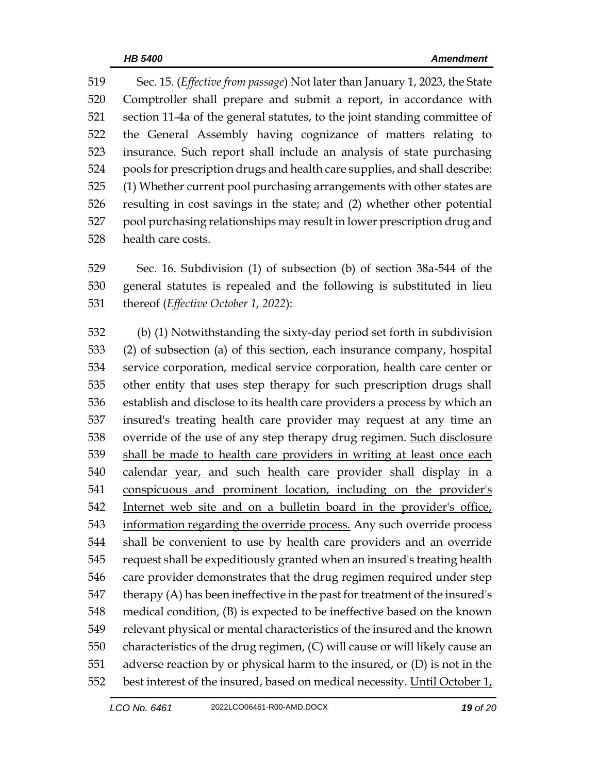Sec. 15. (*Effective from passage*) Not later than January 1, 2023, the State Comptroller shall prepare and submit a report, in accordance with section 11-4a of the general statutes, to the joint standing committee of the General Assembly having cognizance of matters relating to insurance. Such report shall include an analysis of state purchasing pools for prescription drugs and health care supplies, and shall describe: (1) Whether current pool purchasing arrangements with other states are resulting in cost savings in the state; and (2) whether other potential pool purchasing relationships may result in lower prescription drug and health care costs.

 Sec. 16. Subdivision (1) of subsection (b) of section 38a-544 of the general statutes is repealed and the following is substituted in lieu thereof (*Effective October 1, 2022*):

 (b) (1) Notwithstanding the sixty-day period set forth in subdivision (2) of subsection (a) of this section, each insurance company, hospital service corporation, medical service corporation, health care center or other entity that uses step therapy for such prescription drugs shall establish and disclose to its health care providers a process by which an insured's treating health care provider may request at any time an override of the use of any step therapy drug regimen. Such disclosure shall be made to health care providers in writing at least once each calendar year, and such health care provider shall display in a conspicuous and prominent location, including on the provider's Internet web site and on a bulletin board in the provider's office, information regarding the override process. Any such override process shall be convenient to use by health care providers and an override request shall be expeditiously granted when an insured's treating health care provider demonstrates that the drug regimen required under step therapy (A) has been ineffective in the past for treatment of the insured's medical condition, (B) is expected to be ineffective based on the known relevant physical or mental characteristics of the insured and the known characteristics of the drug regimen, (C) will cause or will likely cause an adverse reaction by or physical harm to the insured, or (D) is not in the best interest of the insured, based on medical necessity. Until October 1,